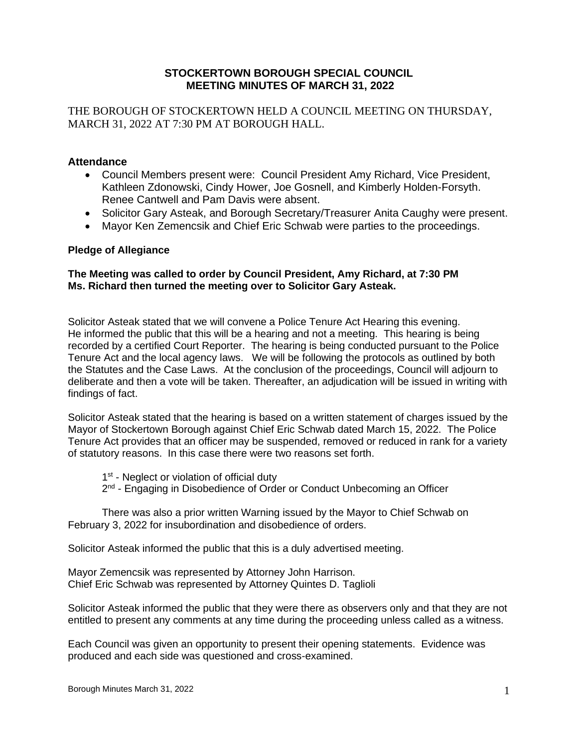## **STOCKERTOWN BOROUGH SPECIAL COUNCIL MEETING MINUTES OF MARCH 31, 2022**

THE BOROUGH OF STOCKERTOWN HELD A COUNCIL MEETING ON THURSDAY, MARCH 31, 2022 AT 7:30 PM AT BOROUGH HALL.

## **Attendance**

- Council Members present were: Council President Amy Richard, Vice President, Kathleen Zdonowski, Cindy Hower, Joe Gosnell, and Kimberly Holden-Forsyth. Renee Cantwell and Pam Davis were absent.
- Solicitor Gary Asteak, and Borough Secretary/Treasurer Anita Caughy were present.
- Mayor Ken Zemencsik and Chief Eric Schwab were parties to the proceedings.

## **Pledge of Allegiance**

## **The Meeting was called to order by Council President, Amy Richard, at 7:30 PM Ms. Richard then turned the meeting over to Solicitor Gary Asteak.**

Solicitor Asteak stated that we will convene a Police Tenure Act Hearing this evening. He informed the public that this will be a hearing and not a meeting. This hearing is being recorded by a certified Court Reporter. The hearing is being conducted pursuant to the Police Tenure Act and the local agency laws. We will be following the protocols as outlined by both the Statutes and the Case Laws. At the conclusion of the proceedings, Council will adjourn to deliberate and then a vote will be taken. Thereafter, an adjudication will be issued in writing with findings of fact.

Solicitor Asteak stated that the hearing is based on a written statement of charges issued by the Mayor of Stockertown Borough against Chief Eric Schwab dated March 15, 2022. The Police Tenure Act provides that an officer may be suspended, removed or reduced in rank for a variety of statutory reasons. In this case there were two reasons set forth.

- 1<sup>st</sup> Neglect or violation of official duty
- 2<sup>nd</sup> Engaging in Disobedience of Order or Conduct Unbecoming an Officer

There was also a prior written Warning issued by the Mayor to Chief Schwab on February 3, 2022 for insubordination and disobedience of orders.

Solicitor Asteak informed the public that this is a duly advertised meeting.

Mayor Zemencsik was represented by Attorney John Harrison. Chief Eric Schwab was represented by Attorney Quintes D. Taglioli

Solicitor Asteak informed the public that they were there as observers only and that they are not entitled to present any comments at any time during the proceeding unless called as a witness.

Each Council was given an opportunity to present their opening statements. Evidence was produced and each side was questioned and cross-examined.